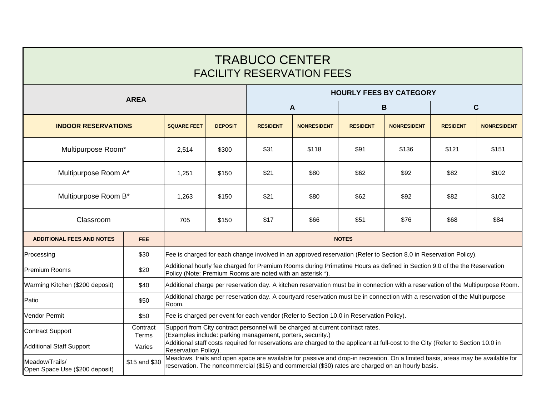| <b>TRABUCO CENTER</b><br><b>FACILITY RESERVATION FEES</b> |                   |                                                                                                                                                                                                                                      |                  |                                |                    |                 |                    |                 |                    |  |
|-----------------------------------------------------------|-------------------|--------------------------------------------------------------------------------------------------------------------------------------------------------------------------------------------------------------------------------------|------------------|--------------------------------|--------------------|-----------------|--------------------|-----------------|--------------------|--|
|                                                           |                   |                                                                                                                                                                                                                                      |                  | <b>HOURLY FEES BY CATEGORY</b> |                    |                 |                    |                 |                    |  |
| <b>AREA</b>                                               |                   |                                                                                                                                                                                                                                      | $\boldsymbol{A}$ |                                | B                  |                 | $\mathbf c$        |                 |                    |  |
| <b>INDOOR RESERVATIONS</b>                                |                   | <b>SQUARE FEET</b>                                                                                                                                                                                                                   | <b>DEPOSIT</b>   | <b>RESIDENT</b>                | <b>NONRESIDENT</b> | <b>RESIDENT</b> | <b>NONRESIDENT</b> | <b>RESIDENT</b> | <b>NONRESIDENT</b> |  |
| Multipurpose Room*                                        |                   | 2,514                                                                                                                                                                                                                                | \$300            | \$31                           | \$118              | \$91            | \$136              | \$121           | \$151              |  |
| Multipurpose Room A*                                      |                   | 1,251                                                                                                                                                                                                                                | \$150            | \$21                           | \$80               | \$62            | \$92               | \$82            | \$102              |  |
| Multipurpose Room B*                                      |                   | 1,263                                                                                                                                                                                                                                | \$150            | \$21                           | \$80               | \$62            | \$92               | \$82            | \$102              |  |
| Classroom                                                 |                   | 705                                                                                                                                                                                                                                  | \$150            | \$17                           | \$66               | \$51            | \$76               | \$68            | \$84               |  |
| <b>ADDITIONAL FEES AND NOTES</b>                          | FEE.              | <b>NOTES</b>                                                                                                                                                                                                                         |                  |                                |                    |                 |                    |                 |                    |  |
| Processing                                                | \$30              | Fee is charged for each change involved in an approved reservation (Refer to Section 8.0 in Reservation Policy).                                                                                                                     |                  |                                |                    |                 |                    |                 |                    |  |
| Premium Rooms                                             | \$20              | Additional hourly fee charged for Premium Rooms during Primetime Hours as defined in Section 9.0 of the the Reservation<br>Policy (Note: Premium Rooms are noted with an asterisk *).                                                |                  |                                |                    |                 |                    |                 |                    |  |
| Warming Kitchen (\$200 deposit)                           | \$40              | Additional charge per reservation day. A kitchen reservation must be in connection with a reservation of the Multipurpose Room.                                                                                                      |                  |                                |                    |                 |                    |                 |                    |  |
| Patio                                                     | \$50              | Additional charge per reservation day. A courtyard reservation must be in connection with a reservation of the Multipurpose<br>Room.                                                                                                 |                  |                                |                    |                 |                    |                 |                    |  |
| Vendor Permit                                             | \$50              | Fee is charged per event for each vendor (Refer to Section 10.0 in Reservation Policy).                                                                                                                                              |                  |                                |                    |                 |                    |                 |                    |  |
| <b>Contract Support</b>                                   | Contract<br>Terms | Support from City contract personnel will be charged at current contract rates.<br>(Examples include: parking management, porters, security.)                                                                                        |                  |                                |                    |                 |                    |                 |                    |  |
| <b>Additional Staff Support</b>                           | Varies            | Additional staff costs required for reservations are charged to the applicant at full-cost to the City (Refer to Section 10.0 in<br>Reservation Policy).                                                                             |                  |                                |                    |                 |                    |                 |                    |  |
| Meadow/Trails/<br>Open Space Use (\$200 deposit)          | \$15 and \$30     | Meadows, trails and open space are available for passive and drop-in recreation. On a limited basis, areas may be available for<br>reservation. The noncommercial (\$15) and commercial (\$30) rates are charged on an hourly basis. |                  |                                |                    |                 |                    |                 |                    |  |